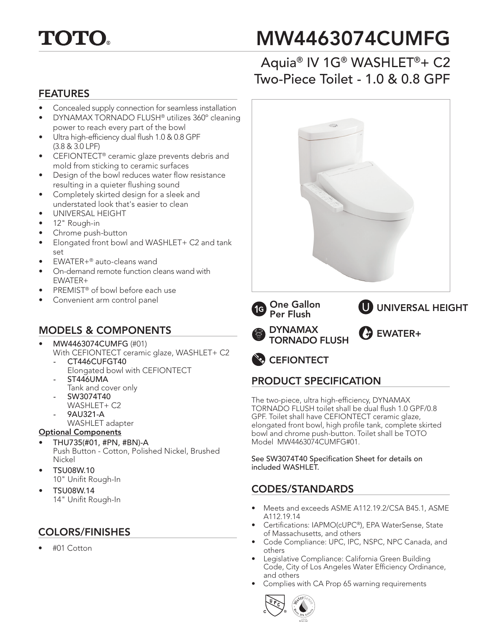

# MW4463074CUMFG

## Aquia® IV 1G® WASHLET®+ C2 Two-Piece Toilet - 1.0 & 0.8 GPF

#### FEATURES

- Concealed supply connection for seamless installation
- DYNAMAX TORNADO FLUSH® utilizes 360º cleaning power to reach every part of the bowl
- Ultra high-efficiency dual flush 1.0 & 0.8 GPF (3.8 & 3.0 LPF)
- CEFIONTECT® ceramic glaze prevents debris and mold from sticking to ceramic surfaces
- Design of the bowl reduces water flow resistance resulting in a quieter flushing sound
- Completely skirted design for a sleek and understated look that's easier to clean
- UNIVERSAL HEIGHT
- 12" Rough-in
- Chrome push-button
- Elongated front bowl and WASHLET+ C2 and tank set
- EWATER+® auto-cleans wand
- On-demand remote function cleans wand with EWATER+
- PREMIST® of bowl before each use
- Convenient arm control panel

### MODELS & COMPONENTS

- MW4463074CUMFG (#01)
	- With CEFIONTECT ceramic glaze, WASHLET+ C2 *-* CT446CUFGT40
		- Elongated bowl with CEFIONTECT *-* ST446UMA
		- Tank and cover only
		- SW3074T40 WASHLET+ C2
		- 9AU321-A
		- WASHLET adapter

#### Optional Components

- THU735(#01, #PN, #BN)-A Push Button - Cotton, Polished Nickel, Brushed Nickel
- TSU08W.10 10" Unifit Rough-In
- TSU08W.14 14" Unifit Rough-In

#### COLORS/FINISHES

• #01 Cotton





### PRODUCT SPECIFICATION

The two-piece, ultra high-efficiency, DYNAMAX TORNADO FLUSH toilet shall be dual flush 1.0 GPF/0.8 GPF. Toilet shall have CEFIONTECT ceramic glaze, elongated front bowl, high profile tank, complete skirted bowl and chrome push-button. Toilet shall be TOTO Model MW4463074CUMFG#01.

See SW3074T40 Specification Sheet for details on included WASHLET.

#### CODES/STANDARDS

- Meets and exceeds ASME A112.19.2/CSA B45.1, ASME A112.19.14
- Certifications: IAPMO(cUPC®), EPA WaterSense, State of Massachusetts, and others
- Code Compliance: UPC, IPC, NSPC, NPC Canada, and others
- Legislative Compliance: California Green Building Code, City of Los Angeles Water Efficiency Ordinance, and others
- Complies with CA Prop 65 warning requirements